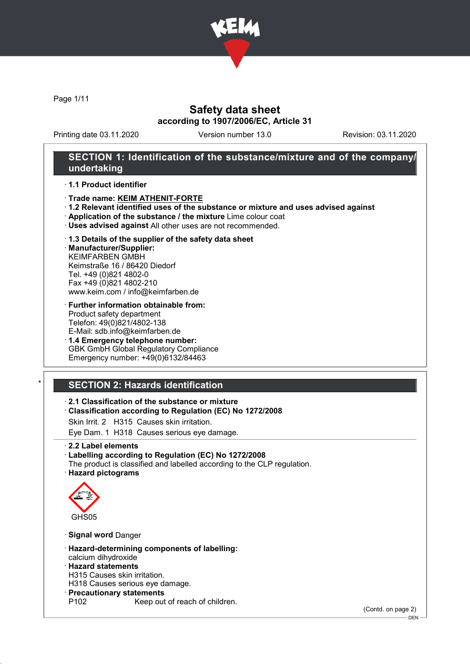

Page 1/11

## Safety data sheet according to 1907/2006/EC, Article 31

Printing date 03.11.2020 Version number 13.0 Revision: 03.11.2020

## SECTION 1: Identification of the substance/mixture and of the company/ undertaking

### · 1.1 Product identifier

- · Trade name: KEIM ATHENIT-FORTE
- · 1.2 Relevant identified uses of the substance or mixture and uses advised against
- · Application of the substance / the mixture Lime colour coat
- · Uses advised against All other uses are not recommended.

### · 1.3 Details of the supplier of the safety data sheet

· Manufacturer/Supplier: KEIMFARBEN GMBH Keimstraße 16 / 86420 Diedorf Tel. +49 (0)821 4802-0 Fax +49 (0)821 4802-210 www.keim.com / info@keimfarben.de

- · Further information obtainable from: Product safety department Telefon: 49(0)821/4802-138 E-Mail: sdb.info@keimfarben.de
- · 1.4 Emergency telephone number: GBK GmbH Global Regulatory Compliance Emergency number: +49(0)6132/84463

# **SECTION 2: Hazards identification**

## · 2.1 Classification of the substance or mixture

- · Classification according to Regulation (EC) No 1272/2008
- Skin Irrit. 2 H315 Causes skin irritation.
- Eye Dam. 1 H318 Causes serious eye damage.
- · 2.2 Label elements

### · Labelling according to Regulation (EC) No 1272/2008

The product is classified and labelled according to the CLP regulation. · Hazard pictograms



- · Signal word Danger
- · Hazard-determining components of labelling: calcium dihydroxide
- · Hazard statements
- H315 Causes skin irritation.
- H318 Causes serious eye damage.
- · Precautionary statements
	- Keep out of reach of children.

(Contd. on page 2)

DEN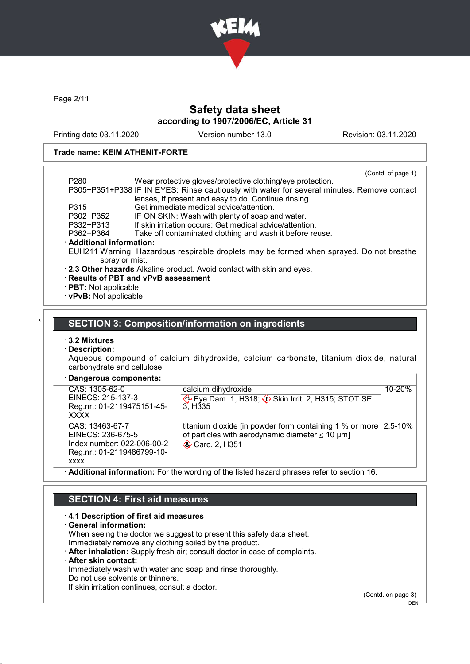

Page 2/11

# Safety data sheet according to 1907/2006/EC, Article 31

Printing date 03.11.2020 Version number 13.0 Revision: 03.11.2020

### Trade name: KEIM ATHENIT-FORTE

| P <sub>280</sub>            | Wear protective gloves/protective clothing/eye protection.                                 | (Contd. of page 1) |
|-----------------------------|--------------------------------------------------------------------------------------------|--------------------|
|                             |                                                                                            |                    |
|                             | P305+P351+P338 IF IN EYES: Rinse cautiously with water for several minutes. Remove contact |                    |
|                             | lenses, if present and easy to do. Continue rinsing.                                       |                    |
| P315                        | Get immediate medical advice/attention.                                                    |                    |
| P302+P352                   | IF ON SKIN: Wash with plenty of soap and water.                                            |                    |
| P332+P313                   | If skin irritation occurs: Get medical advice/attention.                                   |                    |
| P362+P364                   | Take off contaminated clothing and wash it before reuse.                                   |                    |
| · Additional information:   |                                                                                            |                    |
|                             | EUH211 Warning! Hazardous respirable droplets may be formed when sprayed. Do not breathe   |                    |
| spray or mist.              |                                                                                            |                    |
|                             | . 2.3 Other hazards Alkaline product. Avoid contact with skin and eyes.                    |                    |
|                             | · Results of PBT and vPvB assessment                                                       |                    |
| $\cdot$ PBT: Not applicable |                                                                                            |                    |
|                             |                                                                                            |                    |

· vPvB: Not applicable

## SECTION 3: Composition/information on ingredients

## · 3.2 Mixtures

### · Description:

L

Aqueous compound of calcium dihydroxide, calcium carbonate, titanium dioxide, natural carbohydrate and cellulose

| · Dangerous components: |                 |
|-------------------------|-----------------|
| $CAS: 1305-62-0$        | $ $ calcium dih |

| CAS: 1305-62-0             | calcium dihydroxide                                                     | 10-20% |
|----------------------------|-------------------------------------------------------------------------|--------|
| EINECS: 215-137-3          | Eye Dam. 1, H318; $\Diamond$ Skin Irrit. 2, H315; STOT SE               |        |
| Reg.nr.: 01-2119475151-45- | 3. H <sub>335</sub>                                                     |        |
| <b>XXXX</b>                |                                                                         |        |
| CAS: 13463-67-7            | titanium dioxide [in powder form containing 1 % or more $\vert$ 2.5-10% |        |
| EINECS: 236-675-5          | of particles with aerodynamic diameter $\leq 10 \mu m$ ]                |        |
| Index number: 022-006-00-2 | <b>◆ Carc. 2, H351</b>                                                  |        |
| Reg.nr.: 01-2119486799-10- |                                                                         |        |
| <b>XXXX</b>                |                                                                         |        |
|                            |                                                                         |        |

· Additional information: For the wording of the listed hazard phrases refer to section 16.

## SECTION 4: First aid measures

### · 4.1 Description of first aid measures

- · General information: When seeing the doctor we suggest to present this safety data sheet. Immediately remove any clothing soiled by the product.
- · After inhalation: Supply fresh air; consult doctor in case of complaints.
- · After skin contact:

Immediately wash with water and soap and rinse thoroughly.

Do not use solvents or thinners.

If skin irritation continues, consult a doctor.

(Contd. on page 3)

 $-$  DEN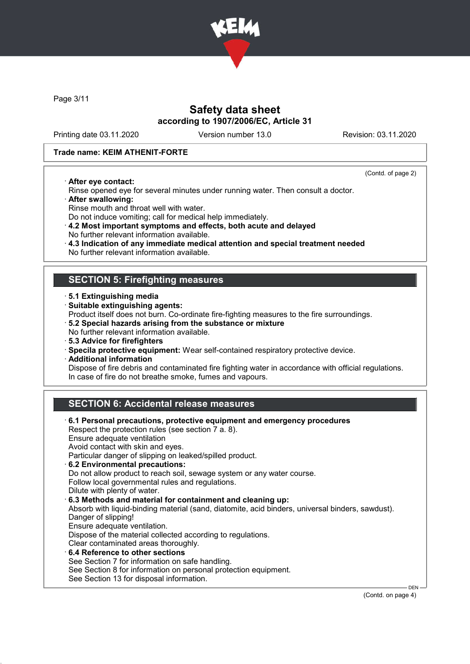

Page 3/11

# Safety data sheet according to 1907/2006/EC, Article 31

Printing date 03.11.2020 Version number 13.0 Revision: 03.11.2020

### Trade name: KEIM ATHENIT-FORTE

· After eye contact:

(Contd. of page 2)

- Rinse opened eye for several minutes under running water. Then consult a doctor. · After swallowing:
- 
- Rinse mouth and throat well with water. Do not induce vomiting; call for medical help immediately.
- · 4.2 Most important symptoms and effects, both acute and delayed
- No further relevant information available.
- · 4.3 Indication of any immediate medical attention and special treatment needed
- No further relevant information available.

## SECTION 5: Firefighting measures

- · 5.1 Extinguishing media
- · Suitable extinguishing agents:
- Product itself does not burn. Co-ordinate fire-fighting measures to the fire surroundings.
- · 5.2 Special hazards arising from the substance or mixture
- No further relevant information available.
- · 5.3 Advice for firefighters
- · Specila protective equipment: Wear self-contained respiratory protective device.
- · Additional information

Dispose of fire debris and contaminated fire fighting water in accordance with official regulations. In case of fire do not breathe smoke, fumes and vapours.

# SECTION 6: Accidental release measures

| $\cdot$ 6.1 Personal precautions, protective equipment and emergency procedures<br>Respect the protection rules (see section 7 a. 8). |
|---------------------------------------------------------------------------------------------------------------------------------------|
| Ensure adequate ventilation                                                                                                           |
| Avoid contact with skin and eyes.                                                                                                     |
| Particular danger of slipping on leaked/spilled product.                                                                              |
| 6.2 Environmental precautions:                                                                                                        |
| Do not allow product to reach soil, sewage system or any water course.                                                                |
| Follow local governmental rules and regulations.                                                                                      |
| Dilute with plenty of water.                                                                                                          |
| 6.3 Methods and material for containment and cleaning up:                                                                             |
| Absorb with liquid-binding material (sand, diatomite, acid binders, universal binders, sawdust).                                      |
| Danger of slipping!                                                                                                                   |
| Ensure adequate ventilation.                                                                                                          |
| Dispose of the material collected according to regulations.                                                                           |
| Clear contaminated areas thoroughly.                                                                                                  |
| $\cdot$ 6.4 Reference to other sections                                                                                               |
| See Section 7 for information on safe handling.                                                                                       |
| See Section 8 for information on personal protection equipment.                                                                       |
| See Section 13 for disposal information.                                                                                              |

(Contd. on page 4)

DEN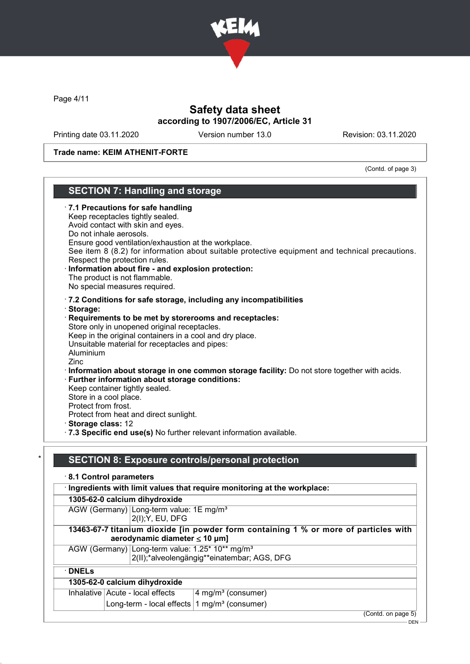

Page 4/11

# Safety data sheet according to 1907/2006/EC, Article 31

Printing date 03.11.2020 Version number 13.0 Revision: 03.11.2020

### Trade name: KEIM ATHENIT-FORTE

## (Contd. of page 3) SECTION 7: Handling and storage · 7.1 Precautions for safe handling Keep receptacles tightly sealed. Avoid contact with skin and eyes. Do not inhale aerosols. Ensure good ventilation/exhaustion at the workplace. See item 8 (8.2) for information about suitable protective equipment and technical precautions. Respect the protection rules. Information about fire - and explosion protection: The product is not flammable. No special measures required. · 7.2 Conditions for safe storage, including any incompatibilities · Storage: Requirements to be met by storerooms and receptacles: Store only in unopened original receptacles. Keep in the original containers in a cool and dry place. Unsuitable material for receptacles and pipes: Aluminium Zinc · Information about storage in one common storage facility: Do not store together with acids. · Further information about storage conditions: Keep container tightly sealed. Store in a cool place. Protect from frost. Protect from heat and direct sunlight. · Storage class: 12 · 7.3 Specific end use(s) No further relevant information available. SECTION 8: Exposure controls/personal protection · 8.1 Control parameters · Ingredients with limit values that require monitoring at the workplace: 1305-62-0 calcium dihydroxide AGW (Germany) Long-term value: 1E mg/m<sup>3</sup> 2(I);Y, EU, DFG

## 13463-67-7 titanium dioxide [in powder form containing 1 % or more of particles with aerodynamic diameter ≤ 10 μm]

AGW (Germany) Long-term value: 1.25\* 10\*\* mg/m<sup>3</sup> 2(II);\*alveolengängig\*\*einatembar; AGS, DFG

· DNELs

## 1305-62-0 calcium dihydroxide

| Inhalative Acute - local effects                                         | $4$ mg/m <sup>3</sup> (consumer) |
|--------------------------------------------------------------------------|----------------------------------|
| $\vert$ Long-term - local effects $\vert$ 1 mg/m <sup>3</sup> (consumer) |                                  |

(Contd. on page 5)

DEN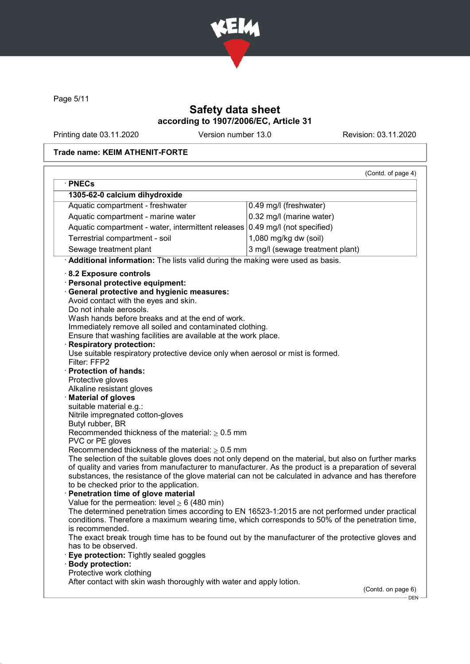

Page 5/11

# Safety data sheet according to 1907/2006/EC, Article 31

Printing date 03.11.2020 Version number 13.0 Revision: 03.11.2020

## Trade name: KEIM ATHENIT-FORTE

|                                                                                                                                                                                                                                                                                                                                                                                                                                                                                                                                                                                                                                                                                                                                                                                                                                                                                                                                                                                                                                                                                                                                                                                                                                                                                                                                                                                                                 | (Contd. of page 4)              |
|-----------------------------------------------------------------------------------------------------------------------------------------------------------------------------------------------------------------------------------------------------------------------------------------------------------------------------------------------------------------------------------------------------------------------------------------------------------------------------------------------------------------------------------------------------------------------------------------------------------------------------------------------------------------------------------------------------------------------------------------------------------------------------------------------------------------------------------------------------------------------------------------------------------------------------------------------------------------------------------------------------------------------------------------------------------------------------------------------------------------------------------------------------------------------------------------------------------------------------------------------------------------------------------------------------------------------------------------------------------------------------------------------------------------|---------------------------------|
| · PNECs                                                                                                                                                                                                                                                                                                                                                                                                                                                                                                                                                                                                                                                                                                                                                                                                                                                                                                                                                                                                                                                                                                                                                                                                                                                                                                                                                                                                         |                                 |
| 1305-62-0 calcium dihydroxide                                                                                                                                                                                                                                                                                                                                                                                                                                                                                                                                                                                                                                                                                                                                                                                                                                                                                                                                                                                                                                                                                                                                                                                                                                                                                                                                                                                   |                                 |
| Aquatic compartment - freshwater                                                                                                                                                                                                                                                                                                                                                                                                                                                                                                                                                                                                                                                                                                                                                                                                                                                                                                                                                                                                                                                                                                                                                                                                                                                                                                                                                                                | 0.49 mg/l (freshwater)          |
| Aquatic compartment - marine water                                                                                                                                                                                                                                                                                                                                                                                                                                                                                                                                                                                                                                                                                                                                                                                                                                                                                                                                                                                                                                                                                                                                                                                                                                                                                                                                                                              | 0.32 mg/l (marine water)        |
| Aquatic compartment - water, intermittent releases 0.49 mg/l (not specified)                                                                                                                                                                                                                                                                                                                                                                                                                                                                                                                                                                                                                                                                                                                                                                                                                                                                                                                                                                                                                                                                                                                                                                                                                                                                                                                                    |                                 |
| Terrestrial compartment - soil                                                                                                                                                                                                                                                                                                                                                                                                                                                                                                                                                                                                                                                                                                                                                                                                                                                                                                                                                                                                                                                                                                                                                                                                                                                                                                                                                                                  | 1,080 mg/kg dw (soil)           |
| Sewage treatment plant                                                                                                                                                                                                                                                                                                                                                                                                                                                                                                                                                                                                                                                                                                                                                                                                                                                                                                                                                                                                                                                                                                                                                                                                                                                                                                                                                                                          | 3 mg/l (sewage treatment plant) |
| · Additional information: The lists valid during the making were used as basis.                                                                                                                                                                                                                                                                                                                                                                                                                                                                                                                                                                                                                                                                                                                                                                                                                                                                                                                                                                                                                                                                                                                                                                                                                                                                                                                                 |                                 |
| 8.2 Exposure controls<br>· Personal protective equipment:<br><b>General protective and hygienic measures:</b><br>Avoid contact with the eyes and skin.<br>Do not inhale aerosols.<br>Wash hands before breaks and at the end of work.<br>Immediately remove all soiled and contaminated clothing.<br>Ensure that washing facilities are available at the work place.<br><b>Respiratory protection:</b><br>Use suitable respiratory protective device only when aerosol or mist is formed.<br>Filter: FFP2<br><b>Protection of hands:</b><br>Protective gloves<br>Alkaline resistant gloves<br><b>Material of gloves</b><br>suitable material e.g.:<br>Nitrile impregnated cotton-gloves<br>Butyl rubber, BR<br>Recommended thickness of the material: $\geq 0.5$ mm<br>PVC or PE gloves<br>Recommended thickness of the material: $\geq 0.5$ mm<br>The selection of the suitable gloves does not only depend on the material, but also on further marks<br>of quality and varies from manufacturer to manufacturer. As the product is a preparation of several<br>substances, the resistance of the glove material can not be calculated in advance and has therefore<br>to be checked prior to the application.<br>Penetration time of glove material<br>Value for the permeation: level $\geq 6$ (480 min)<br>The determined penetration times according to EN 16523-1:2015 are not performed under practical |                                 |
| conditions. Therefore a maximum wearing time, which corresponds to 50% of the penetration time,<br>is recommended.                                                                                                                                                                                                                                                                                                                                                                                                                                                                                                                                                                                                                                                                                                                                                                                                                                                                                                                                                                                                                                                                                                                                                                                                                                                                                              |                                 |
| The exact break trough time has to be found out by the manufacturer of the protective gloves and<br>has to be observed.                                                                                                                                                                                                                                                                                                                                                                                                                                                                                                                                                                                                                                                                                                                                                                                                                                                                                                                                                                                                                                                                                                                                                                                                                                                                                         |                                 |
| Eye protection: Tightly sealed goggles                                                                                                                                                                                                                                                                                                                                                                                                                                                                                                                                                                                                                                                                                                                                                                                                                                                                                                                                                                                                                                                                                                                                                                                                                                                                                                                                                                          |                                 |
| <b>Body protection:</b>                                                                                                                                                                                                                                                                                                                                                                                                                                                                                                                                                                                                                                                                                                                                                                                                                                                                                                                                                                                                                                                                                                                                                                                                                                                                                                                                                                                         |                                 |
|                                                                                                                                                                                                                                                                                                                                                                                                                                                                                                                                                                                                                                                                                                                                                                                                                                                                                                                                                                                                                                                                                                                                                                                                                                                                                                                                                                                                                 |                                 |
| Protective work clothing<br>After contact with skin wash thoroughly with water and apply lotion.                                                                                                                                                                                                                                                                                                                                                                                                                                                                                                                                                                                                                                                                                                                                                                                                                                                                                                                                                                                                                                                                                                                                                                                                                                                                                                                |                                 |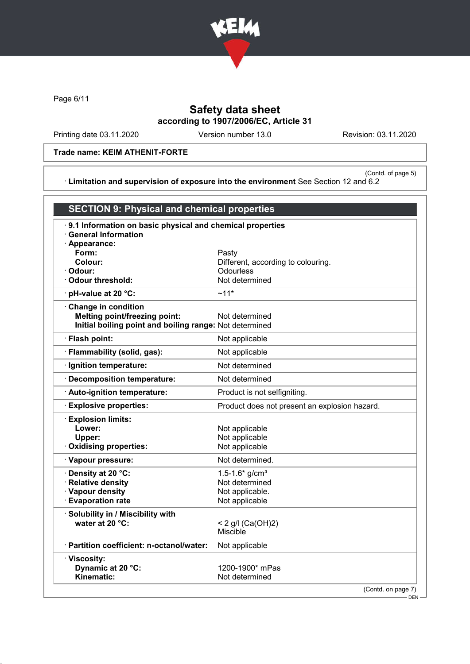

Page 6/11

# Safety data sheet according to 1907/2006/EC, Article 31

Printing date 03.11.2020 Version number 13.0 Revision: 03.11.2020

## Trade name: KEIM ATHENIT-FORTE

(Contd. of page 5) · Limitation and supervision of exposure into the environment See Section 12 and 6.2

| <b>SECTION 9: Physical and chemical properties</b>                                                       |                                               |
|----------------------------------------------------------------------------------------------------------|-----------------------------------------------|
| 9.1 Information on basic physical and chemical properties<br><b>General Information</b><br>· Appearance: |                                               |
| Form:                                                                                                    | Pasty                                         |
| Colour:                                                                                                  | Different, according to colouring.            |
| Odour:                                                                                                   | <b>Odourless</b>                              |
| <b>Odour threshold:</b>                                                                                  | Not determined                                |
| pH-value at 20 °C:                                                                                       | $~11*$                                        |
| Change in condition                                                                                      |                                               |
| <b>Melting point/freezing point:</b>                                                                     | Not determined                                |
| Initial boiling point and boiling range: Not determined                                                  |                                               |
| · Flash point:                                                                                           | Not applicable                                |
| · Flammability (solid, gas):                                                                             | Not applicable                                |
| · Ignition temperature:                                                                                  | Not determined                                |
| · Decomposition temperature:                                                                             | Not determined                                |
| · Auto-ignition temperature:                                                                             | Product is not selfigniting.                  |
| <b>Explosive properties:</b>                                                                             | Product does not present an explosion hazard. |
| <b>Explosion limits:</b>                                                                                 |                                               |
| Lower:                                                                                                   | Not applicable                                |
| Upper:                                                                                                   | Not applicable                                |
| Oxidising properties:                                                                                    | Not applicable                                |
| · Vapour pressure:                                                                                       | Not determined.                               |
| · Density at 20 °C:                                                                                      | 1.5-1.6* $g/cm^{3}$                           |
| <b>Relative density</b>                                                                                  | Not determined                                |
| · Vapour density                                                                                         | Not applicable.                               |
| <b>Evaporation rate</b>                                                                                  | Not applicable                                |
| Solubility in / Miscibility with                                                                         |                                               |
| water at 20 °C:                                                                                          | < 2 g/l (Ca(OH)2)                             |
|                                                                                                          | <b>Miscible</b>                               |
| · Partition coefficient: n-octanol/water:                                                                | Not applicable                                |
| · Viscosity:                                                                                             |                                               |
| Dynamic at 20 °C:                                                                                        | 1200-1900* mPas                               |
| <b>Kinematic:</b>                                                                                        | Not determined                                |
|                                                                                                          | (Contd. on page 7)                            |

DEN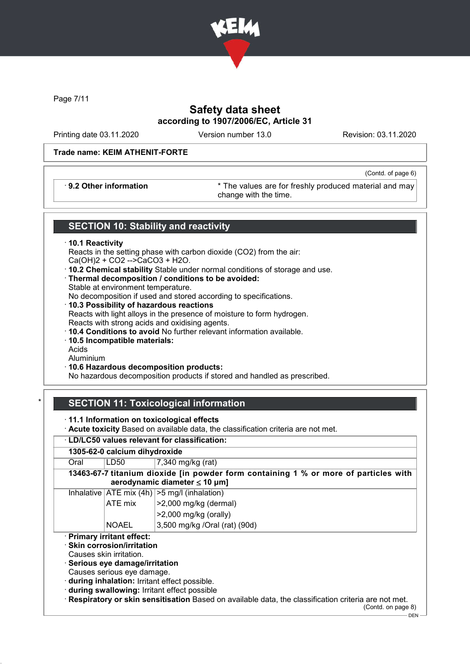

Page 7/11

# Safety data sheet according to 1907/2006/EC, Article 31

Printing date 03.11.2020 Version number 13.0 Revision: 03.11.2020

(Contd. of page 6)

### Trade name: KEIM ATHENIT-FORTE

· 9.2 Other information \* The values are for freshly produced material and may change with the time.

## SECTION 10: Stability and reactivity

### · 10.1 Reactivity

Reacts in the setting phase with carbon dioxide (CO2) from the air: Ca(OH)2 + CO2 -->CaCO3 + H2O.

- · 10.2 Chemical stability Stable under normal conditions of storage and use.
- · Thermal decomposition / conditions to be avoided: Stable at environment temperature.

No decomposition if used and stored according to specifications.

- · 10.3 Possibility of hazardous reactions Reacts with light alloys in the presence of moisture to form hydrogen. Reacts with strong acids and oxidising agents.
- · 10.4 Conditions to avoid No further relevant information available.
- · 10.5 Incompatible materials:

Acids

Aluminium

· 10.6 Hazardous decomposition products:

No hazardous decomposition products if stored and handled as prescribed.

# **SECTION 11: Toxicological information**

- · 11.1 Information on toxicological effects
- · Acute toxicity Based on available data, the classification criteria are not met.

| · LD/LC50 values relevant for classification: |                                                                                                                                                           |                                                                                                                                                                                                                            |  |  |  |
|-----------------------------------------------|-----------------------------------------------------------------------------------------------------------------------------------------------------------|----------------------------------------------------------------------------------------------------------------------------------------------------------------------------------------------------------------------------|--|--|--|
| 1305-62-0 calcium dihydroxide                 |                                                                                                                                                           |                                                                                                                                                                                                                            |  |  |  |
| Oral                                          | 7,340 mg/kg (rat)<br>LD50                                                                                                                                 |                                                                                                                                                                                                                            |  |  |  |
|                                               | 13463-67-7 titanium dioxide [in powder form containing 1 % or more of particles with<br>aerodynamic diameter $\leq 10$ µm]                                |                                                                                                                                                                                                                            |  |  |  |
|                                               |                                                                                                                                                           | Inhalative $ ATE \text{ mix } (4h)  > 5 \text{ mg/l } (inhalation)$                                                                                                                                                        |  |  |  |
|                                               | ATE mix                                                                                                                                                   | >2,000 mg/kg (dermal)                                                                                                                                                                                                      |  |  |  |
|                                               |                                                                                                                                                           | $>2,000$ mg/kg (orally)                                                                                                                                                                                                    |  |  |  |
|                                               | <b>NOAEL</b>                                                                                                                                              | 3,500 mg/kg /Oral (rat) (90d)                                                                                                                                                                                              |  |  |  |
|                                               | · Primary irritant effect:<br>$\cdot$ Skin corrosion/irritation<br>Causes skin irritation.<br>Serious eye damage/irritation<br>Causes serious eye damage. | during inhalation: Irritant effect possible.<br>during swallowing: Irritant effect possible<br>· Respiratory or skin sensitisation Based on available data, the classification criteria are not met.<br>(Contd. on page 8) |  |  |  |

DEN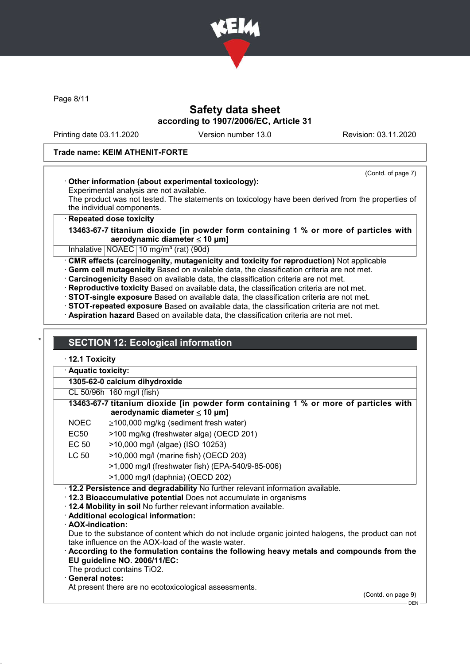

Page 8/11

## Safety data sheet according to 1907/2006/EC, Article 31

Printing date 03.11.2020 Version number 13.0 Revision: 03.11.2020

### Trade name: KEIM ATHENIT-FORTE

## (Contd. of page 7)

## · Other information (about experimental toxicology):

Experimental analysis are not available.

The product was not tested. The statements on toxicology have been derived from the properties of the individual components.

### **Repeated dose toxicity**

13463-67-7 titanium dioxide [in powder form containing 1 % or more of particles with aerodynamic diameter ≤ 10 μm]

Inhalative  $NOAEC$  10 mg/m<sup>3</sup> (rat) (90d)

· CMR effects (carcinogenity, mutagenicity and toxicity for reproduction) Not applicable

- · Germ cell mutagenicity Based on available data, the classification criteria are not met.
- · Carcinogenicity Based on available data, the classification criteria are not met.

· Reproductive toxicity Based on available data, the classification criteria are not met.

- · STOT-single exposure Based on available data, the classification criteria are not met.
- · STOT-repeated exposure Based on available data, the classification criteria are not met.
- · Aspiration hazard Based on available data, the classification criteria are not met.

## **SECTION 12: Ecological information**

· 12.1 Toxicity

· Aquatic toxicity:

1305-62-0 calcium dihydroxide

CL 50/96h 160 mg/l (fish)

|            | 13463-67-7 titanium dioxide [in powder form containing 1 % or more of particles with<br>aerodynamic diameter $\leq 10 \mu m$ ] |
|------------|--------------------------------------------------------------------------------------------------------------------------------|
| $\sqrt{2}$ | $\Box$ 400.000 $\ldots$ 4. $\Box$ 4. $\Box$ 4. $\Box$ 4. $\Box$ 4. $\Box$                                                      |

| <b>NOEC</b> | $\geq$ 100,000 mg/kg (sediment fresh water)      |
|-------------|--------------------------------------------------|
| EC50        | >100 mg/kg (freshwater alga) (OECD 201)          |
| EC 50       | >10,000 mg/l (algae) (ISO 10253)                 |
| LC 50       | >10,000 mg/l (marine fish) (OECD 203)            |
|             | >1,000 mg/l (freshwater fish) (EPA-540/9-85-006) |
|             | >1,000 mg/l (daphnia) (OECD 202)                 |

· 12.2 Persistence and degradability No further relevant information available.

· 12.3 Bioaccumulative potential Does not accumulate in organisms

- · 12.4 Mobility in soil No further relevant information available.
- · Additional ecological information:
- · AOX-indication:

Due to the substance of content which do not include organic jointed halogens, the product can not take influence on the AOX-load of the waste water.

- · According to the formulation contains the following heavy metals and compounds from the EU guideline NO. 2006/11/EC:
- The product contains TiO2.

General notes:

At present there are no ecotoxicological assessments.

(Contd. on page 9) DEN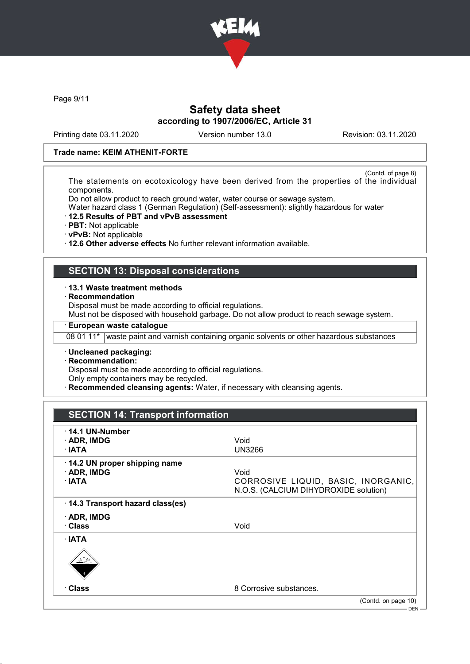

Page 9/11

# Safety data sheet according to 1907/2006/EC, Article 31

Printing date 03.11.2020 Version number 13.0 Revision: 03.11.2020

### Trade name: KEIM ATHENIT-FORTE

(Contd. of page 8) The statements on ecotoxicology have been derived from the properties of the individual components.

Do not allow product to reach ground water, water course or sewage system.

Water hazard class 1 (German Regulation) (Self-assessment): slightly hazardous for water

- · 12.5 Results of PBT and vPvB assessment
- · PBT: Not applicable

· vPvB: Not applicable

· 12.6 Other adverse effects No further relevant information available.

## SECTION 13: Disposal considerations

### · 13.1 Waste treatment methods

**Recommendation** 

Disposal must be made according to official regulations.

Must not be disposed with household garbage. Do not allow product to reach sewage system.

## · European waste catalogue

08 01 11\* waste paint and varnish containing organic solvents or other hazardous substances

· Uncleaned packaging:

· Recommendation:

Disposal must be made according to official regulations.

Only empty containers may be recycled.

**Recommended cleansing agents:** Water, if necessary with cleansing agents.

# SECTION 14: Transport information

| $\cdot$ 14.1 UN-Number<br>$\cdot$ ADR, IMDG<br>∴IATA | Void<br>UN3266                                                                       |
|------------------------------------------------------|--------------------------------------------------------------------------------------|
| 14.2 UN proper shipping name<br>· ADR, IMDG<br>∴IATA | Void<br>CORROSIVE LIQUID, BASIC, INORGANIC,<br>N.O.S. (CALCIUM DIHYDROXIDE solution) |
| 14.3 Transport hazard class(es)                      |                                                                                      |
| $\cdot$ ADR, IMDG<br>· Class                         | Void                                                                                 |
| $\cdot$ IATA<br>運動                                   |                                                                                      |
| ∙ Class                                              | 8 Corrosive substances.                                                              |
|                                                      | (Contd. on page 10)                                                                  |
|                                                      | DEN-                                                                                 |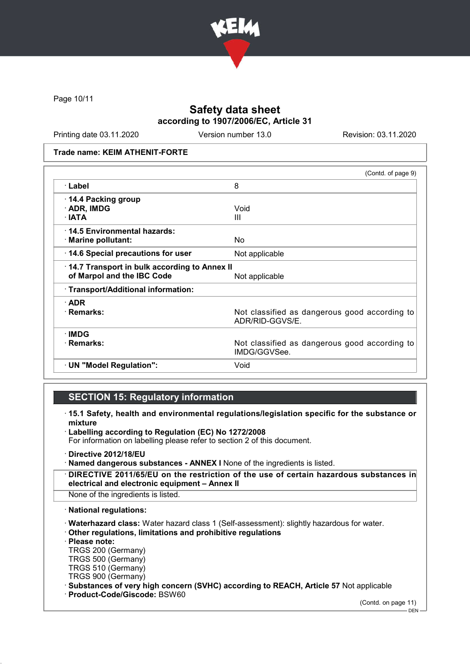

Page 10/11

# Safety data sheet according to 1907/2006/EC, Article 31

Printing date 03.11.2020 Version number 13.0 Revision: 03.11.2020

### Trade name: KEIM ATHENIT-FORTE

|                                              | (Contd. of page 9)                                               |
|----------------------------------------------|------------------------------------------------------------------|
| · Label                                      | 8                                                                |
| 14.4 Packing group                           |                                                                  |
| · ADR, IMDG                                  | Void                                                             |
| $\cdot$ IATA                                 | Ш                                                                |
| 14.5 Environmental hazards:                  |                                                                  |
| · Marine pollutant:                          | No                                                               |
| 14.6 Special precautions for user            | Not applicable                                                   |
| 14.7 Transport in bulk according to Annex II |                                                                  |
| of Marpol and the IBC Code                   | Not applicable                                                   |
| · Transport/Additional information:          |                                                                  |
| $\cdot$ ADR                                  |                                                                  |
| · Remarks:                                   | Not classified as dangerous good according to<br>ADR/RID-GGVS/E. |
| $\cdot$ IMDG                                 |                                                                  |
| · Remarks:                                   | Not classified as dangerous good according to<br>IMDG/GGVSee.    |
| · UN "Model Regulation":                     | Void                                                             |

## SECTION 15: Regulatory information

- · 15.1 Safety, health and environmental regulations/legislation specific for the substance or mixture
- Labelling according to Regulation (EC) No 1272/2008 For information on labelling please refer to section 2 of this document.
- · Directive 2012/18/EU
- · Named dangerous substances ANNEX I None of the ingredients is listed.
- · DIRECTIVE 2011/65/EU on the restriction of the use of certain hazardous substances in electrical and electronic equipment – Annex II
- None of the ingredients is listed.
- · National regulations:
- · Waterhazard class: Water hazard class 1 (Self-assessment): slightly hazardous for water.
- · Other regulations, limitations and prohibitive regulations
- · Please note:
- TRGS 200 (Germany)
- TRGS 500 (Germany) TRGS 510 (Germany)
- TRGS 900 (Germany)
- 
- · Substances of very high concern (SVHC) according to REACH, Article 57 Not applicable
- · Product-Code/Giscode: BSW60

(Contd. on page 11)